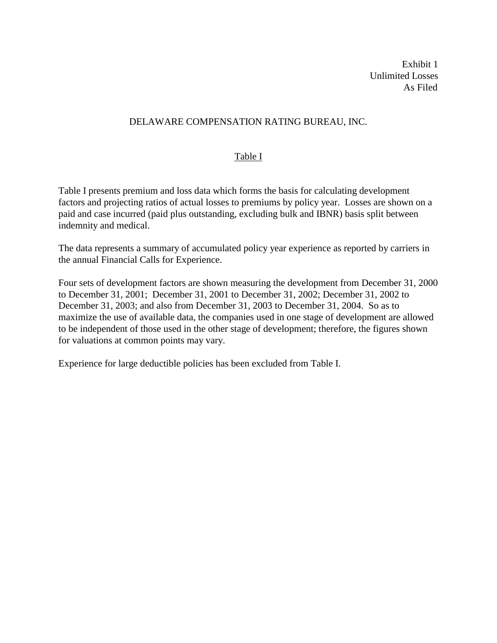Exhibit 1 Unlimited Losses As Filed

# DELAWARE COMPENSATION RATING BUREAU, INC.

# Table I

Table I presents premium and loss data which forms the basis for calculating development factors and projecting ratios of actual losses to premiums by policy year. Losses are shown on a paid and case incurred (paid plus outstanding, excluding bulk and IBNR) basis split between indemnity and medical.

The data represents a summary of accumulated policy year experience as reported by carriers in the annual Financial Calls for Experience.

Four sets of development factors are shown measuring the development from December 31, 2000 to December 31, 2001; December 31, 2001 to December 31, 2002; December 31, 2002 to December 31, 2003; and also from December 31, 2003 to December 31, 2004. So as to maximize the use of available data, the companies used in one stage of development are allowed to be independent of those used in the other stage of development; therefore, the figures shown for valuations at common points may vary.

Experience for large deductible policies has been excluded from Table I.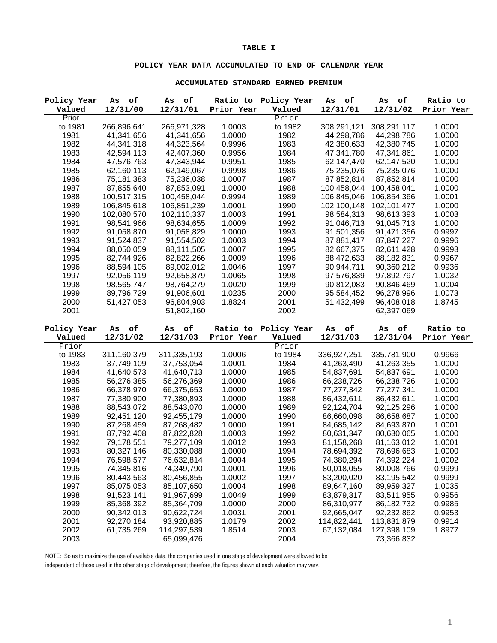#### **TABLE I**

### **POLICY YEAR DATA ACCUMULATED TO END OF CALENDAR YEAR**

#### **ACCUMULATED STANDARD EARNED PREMIUM**

| Policy Year  | of<br>As    | оf<br>As    | Ratio to   | Policy Year  | оf<br>As    | оf<br>As                  | Ratio to   |
|--------------|-------------|-------------|------------|--------------|-------------|---------------------------|------------|
| Valued       | 12/31/00    | 12/31/01    | Prior Year | Valued       | 12/31/01    | 12/31/02                  | Prior Year |
| Prior        |             |             |            | Prior        |             |                           |            |
| to 1981      | 266,896,641 | 266,971,328 | 1.0003     | to 1982      | 308,291,121 | 308,291,117               | 1.0000     |
| 1981         | 41,341,656  | 41,341,656  | 1.0000     | 1982         | 44,298,786  | 44,298,786                | 1.0000     |
| 1982         | 44,341,318  | 44,323,564  | 0.9996     | 1983         | 42,380,633  | 42,380,745                | 1.0000     |
| 1983         | 42,594,113  | 42,407,360  | 0.9956     | 1984         | 47,341,780  | 47,341,861                | 1.0000     |
| 1984         | 47,576,763  | 47,343,944  | 0.9951     | 1985         | 62,147,470  | 62,147,520                | 1.0000     |
| 1985         | 62,160,113  | 62,149,067  | 0.9998     | 1986         | 75,235,076  | 75,235,076                | 1.0000     |
| 1986         | 75,181,383  | 75,236,038  | 1.0007     | 1987         | 87,852,814  | 87,852,814                | 1.0000     |
| 1987         | 87,855,640  | 87,853,091  | 1.0000     | 1988         | 100,458,044 | 100,458,041               | 1.0000     |
| 1988         | 100,517,315 | 100,458,044 | 0.9994     | 1989         | 106,845,046 | 106,854,366               | 1.0001     |
| 1989         | 106,845,618 | 106,851,239 | 1.0001     | 1990         | 102,100,148 | 102,101,477               | 1.0000     |
| 1990         | 102,080,570 | 102,110,337 | 1.0003     | 1991         | 98,584,313  | 98,613,393                | 1.0003     |
| 1991         | 98,541,966  | 98,634,655  | 1.0009     | 1992         | 91,046,713  | 91,045,713                | 1.0000     |
| 1992         | 91,058,870  | 91,058,829  | 1.0000     | 1993         | 91,501,356  | 91,471,356                | 0.9997     |
| 1993         | 91,524,837  | 91,554,502  | 1.0003     | 1994         | 87,881,417  | 87,847,227                | 0.9996     |
| 1994         | 88,050,059  | 88,111,505  | 1.0007     | 1995         | 82,667,375  | 82,611,428                | 0.9993     |
| 1995         | 82,744,926  | 82,822,266  | 1.0009     | 1996         | 88,472,633  | 88,182,831                | 0.9967     |
| 1996         | 88,594,105  | 89,002,012  | 1.0046     | 1997         | 90,944,711  | 90,360,212                | 0.9936     |
| 1997         | 92,056,119  | 92,658,879  | 1.0065     | 1998         | 97,576,839  | 97,892,797                | 1.0032     |
| 1998         | 98,565,747  | 98,764,279  | 1.0020     | 1999         | 90,812,083  | 90,846,469                | 1.0004     |
| 1999         | 89,796,729  | 91,906,601  | 1.0235     | 2000         | 95,584,452  | 96,278,996                | 1.0073     |
| 2000         | 51,427,053  | 96,804,903  | 1.8824     | 2001         | 51,432,499  | 96,408,018                | 1.8745     |
| 2001         |             | 51,802,160  |            | 2002         |             | 62,397,069                |            |
|              |             |             |            |              |             |                           |            |
|              |             |             |            |              |             |                           |            |
| Policy Year  | As<br>оf    | As<br>оf    | Ratio to   | Policy Year  | As<br>оf    | As<br>оf                  | Ratio to   |
| Valued       | 12/31/02    | 12/31/03    | Prior Year | Valued       | 12/31/03    | 12/31/04                  | Prior Year |
| Prior        |             |             |            | Prior        |             |                           |            |
| to 1983      | 311,160,379 | 311,335,193 | 1.0006     | to 1984      | 336,927,251 | 335,781,900               | 0.9966     |
| 1983         | 37,749,109  | 37,753,054  | 1.0001     | 1984         | 41,263,490  | 41,263,355                | 1.0000     |
| 1984         | 41,640,573  | 41,640,713  | 1.0000     | 1985         | 54,837,691  | 54,837,691                | 1.0000     |
| 1985         | 56,276,385  | 56,276,369  | 1.0000     | 1986         | 66,238,726  | 66,238,726                | 1.0000     |
| 1986         | 66,378,970  | 66,375,653  | 1.0000     | 1987         | 77,277,342  | 77,277,341                | 1.0000     |
| 1987         | 77,380,900  | 77,380,893  | 1.0000     | 1988         | 86,432,611  | 86,432,611                | 1.0000     |
| 1988         | 88,543,072  | 88,543,070  | 1.0000     | 1989         | 92,124,704  | 92,125,296                | 1.0000     |
| 1989         | 92,451,120  | 92,455,179  | 1.0000     | 1990         | 86,660,098  | 86,658,687                | 1.0000     |
| 1990         | 87,268,459  | 87,268,482  | 1.0000     | 1991         | 84,685,142  | 84,693,870                | 1.0001     |
| 1991         | 87,792,408  | 87,822,828  | 1.0003     | 1992         | 80,631,347  | 80,630,065                | 1.0000     |
| 1992         | 79,178,551  | 79,277,109  | 1.0012     | 1993         | 81,158,268  | 81,163,012                | 1.0001     |
| 1993         | 80,327,146  | 80,330,088  | 1.0000     | 1994         | 78,694,392  | 78,696,683                | 1.0000     |
| 1994         | 76,598,577  | 76,632,814  | 1.0004     | 1995         | 74,380,294  | 74,392,224                | 1.0002     |
| 1995         | 74,345,816  | 74,349,790  | 1.0001     | 1996         | 80,018,055  | 80,008,766                | 0.9999     |
| 1996         | 80,443,563  | 80,456,855  | 1.0002     | 1997         | 83,200,020  | 83,195,542                | 0.9999     |
| 1997         | 85,075,053  | 85,107,650  | 1.0004     | 1998         | 89,647,160  | 89,959,327                | 1.0035     |
| 1998         | 91,523,141  | 91,967,699  | 1.0049     | 1999         | 83,879,317  | 83,511,955                | 0.9956     |
| 1999         | 85,368,392  | 85,364,709  | 1.0000     | 2000         | 86,310,977  | 86,182,732                | 0.9985     |
| 2000         | 90,342,013  | 90,622,724  | 1.0031     | 2001         | 92,665,047  | 92,232,862                | 0.9953     |
| 2001         | 92,270,184  | 93,920,885  | 1.0179     | 2002         | 114,822,441 | 113,831,879               | 0.9914     |
| 2002<br>2003 | 61,735,269  | 114,297,539 | 1.8514     | 2003<br>2004 | 67,132,084  | 127,398,109<br>73,366,832 | 1.8977     |

NOTE: So as to maximize the use of available data, the companies used in one stage of development were allowed to be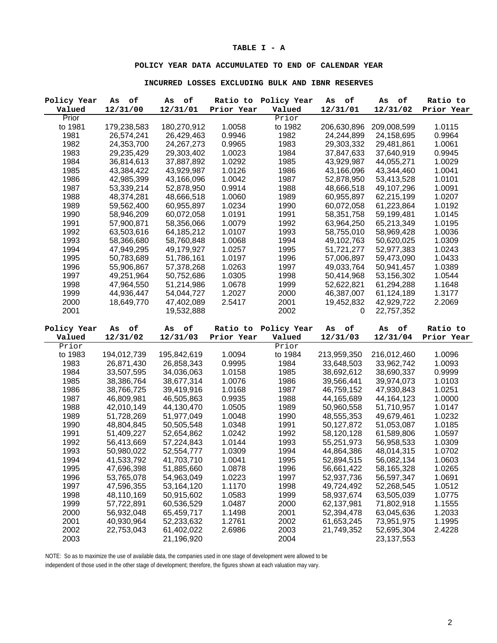#### **TABLE I - A**

## **POLICY YEAR DATA ACCUMULATED TO END OF CALENDAR YEAR**

#### **INCURRED LOSSES EXCLUDING BULK AND IBNR RESERVES**

| Policy Year  | of<br>Αs    | о£<br>As     | Ratio to   | Policy Year  | оf<br>As    | оf<br>As     | Ratio to   |
|--------------|-------------|--------------|------------|--------------|-------------|--------------|------------|
| Valued       | 12/31/00    | 12/31/01     | Prior Year | Valued       | 12/31/01    | 12/31/02     | Prior Year |
| Prior        |             |              |            | Prior        |             |              |            |
| to 1981      | 179,238,583 | 180,270,912  | 1.0058     | to 1982      | 206,630,896 | 209,008,599  | 1.0115     |
| 1981         | 26,574,241  | 26,429,463   | 0.9946     | 1982         | 24,244,899  | 24,158,695   | 0.9964     |
| 1982         | 24,353,700  | 24, 267, 273 | 0.9965     | 1983         | 29,303,332  | 29,481,861   | 1.0061     |
| 1983         | 29,235,429  | 29,303,402   | 1.0023     | 1984         | 37,847,633  | 37,640,919   | 0.9945     |
| 1984         | 36,814,613  | 37,887,892   | 1.0292     | 1985         | 43,929,987  | 44,055,271   | 1.0029     |
| 1985         | 43,384,422  | 43,929,987   | 1.0126     | 1986         | 43,166,096  | 43,344,460   | 1.0041     |
| 1986         | 42,985,399  | 43,166,096   | 1.0042     | 1987         | 52,878,950  | 53,413,528   | 1.0101     |
| 1987         | 53,339,214  | 52,878,950   | 0.9914     | 1988         | 48,666,518  | 49,107,296   | 1.0091     |
| 1988         | 48,374,281  | 48,666,518   | 1.0060     | 1989         | 60,955,897  | 62,215,199   | 1.0207     |
| 1989         | 59,562,400  | 60,955,897   | 1.0234     | 1990         | 60,072,058  | 61,223,864   | 1.0192     |
| 1990         | 58,946,209  | 60,072,058   | 1.0191     | 1991         | 58,351,758  | 59,199,481   | 1.0145     |
| 1991         | 57,900,871  | 58,356,066   | 1.0079     | 1992         | 63,964,250  | 65,213,349   | 1.0195     |
| 1992         | 63,503,616  | 64,185,212   | 1.0107     | 1993         | 58,755,010  | 58,969,428   | 1.0036     |
| 1993         | 58,366,680  | 58,760,848   | 1.0068     | 1994         | 49,102,763  | 50,620,025   | 1.0309     |
| 1994         | 47,949,295  | 49,179,927   | 1.0257     | 1995         | 51,721,277  | 52,977,383   | 1.0243     |
| 1995         | 50,783,689  | 51,786,161   | 1.0197     | 1996         | 57,006,897  | 59,473,090   | 1.0433     |
| 1996         | 55,906,867  | 57,378,268   | 1.0263     | 1997         | 49,033,764  | 50,941,457   | 1.0389     |
| 1997         | 49,251,964  | 50,752,686   | 1.0305     | 1998         | 50,414,968  | 53,156,302   | 1.0544     |
| 1998         | 47,964,550  | 51,214,986   | 1.0678     | 1999         | 52,622,821  | 61,294,288   | 1.1648     |
| 1999         | 44,936,447  | 54,044,727   | 1.2027     | 2000         | 46,387,007  | 61,124,189   | 1.3177     |
| 2000         | 18,649,770  | 47,402,089   | 2.5417     | 2001         | 19,452,832  | 42,929,722   | 2.2069     |
| 2001         |             | 19,532,888   |            | 2002         | 0           | 22,757,352   |            |
|              |             |              |            |              |             |              |            |
|              |             |              |            |              |             |              |            |
| Policy Year  | As<br>оf    | As<br>оf     | Ratio to   | Policy Year  | As<br>оf    | As<br>оf     | Ratio to   |
| Valued       | 12/31/02    | 12/31/03     | Prior Year | Valued       | 12/31/03    | 12/31/04     | Prior Year |
| Prior        |             |              |            | Prior        |             |              |            |
| to 1983      | 194,012,739 | 195,842,619  | 1.0094     | to 1984      | 213,959,350 | 216,012,460  | 1.0096     |
| 1983         | 26,871,430  | 26,858,343   | 0.9995     | 1984         | 33,648,503  | 33,962,742   | 1.0093     |
| 1984         | 33,507,595  | 34,036,063   | 1.0158     | 1985         | 38,692,612  | 38,690,337   | 0.9999     |
| 1985         | 38,386,764  | 38,677,314   | 1.0076     | 1986         | 39,566,441  | 39,974,073   | 1.0103     |
| 1986         | 38,766,725  | 39,419,916   | 1.0168     | 1987         | 46,759,152  | 47,930,843   | 1.0251     |
| 1987         | 46,809,981  | 46,505,863   | 0.9935     | 1988         | 44,165,689  | 44, 164, 123 | 1.0000     |
| 1988         | 42,010,149  | 44,130,470   | 1.0505     | 1989         | 50,960,558  | 51,710,957   | 1.0147     |
| 1989         | 51,728,269  | 51,977,049   | 1.0048     | 1990         | 48,555,353  | 49,679,461   | 1.0232     |
| 1990         | 48,804,845  | 50,505,548   | 1.0348     | 1991         | 50,127,872  | 51,053,087   | 1.0185     |
| 1991         | 51,409,227  | 52,654,862   | 1.0242     | 1992         | 58,120,128  | 61,589,806   | 1.0597     |
| 1992         | 56,413,669  | 57,224,843   | 1.0144     | 1993         | 55,251,973  | 56,958,533   | 1.0309     |
| 1993         | 50,980,022  | 52,554,777   | 1.0309     | 1994         | 44,864,386  | 48,014,315   | 1.0702     |
| 1994         | 41,533,792  | 41,703,710   | 1.0041     | 1995         | 52,894,515  | 56,082,134   | 1.0603     |
| 1995         | 47,696,398  | 51,885,660   | 1.0878     | 1996         | 56,661,422  | 58,165,328   | 1.0265     |
| 1996         | 53,765,078  | 54,963,049   | 1.0223     | 1997         | 52,937,736  | 56,597,347   | 1.0691     |
| 1997         | 47,596,355  | 53,164,120   | 1.1170     | 1998         | 49,724,492  | 52,268,545   | 1.0512     |
| 1998         | 48,110,169  | 50,915,602   | 1.0583     | 1999         | 58,937,674  | 63,505,039   | 1.0775     |
| 1999         | 57,722,891  | 60,536,529   | 1.0487     | 2000         | 62,137,981  | 71,802,918   | 1.1555     |
| 2000         | 56,932,048  | 65,459,717   | 1.1498     | 2001         | 52,394,478  | 63,045,636   | 1.2033     |
| 2001         | 40,930,964  | 52,233,632   | 1.2761     | 2002         | 61,653,245  | 73,951,975   | 1.1995     |
| 2002<br>2003 | 22,753,043  | 61,402,022   | 2.6986     | 2003<br>2004 | 21,749,352  | 52,695,304   | 2.4228     |

NOTE: So as to maximize the use of available data, the companies used in one stage of development were allowed to be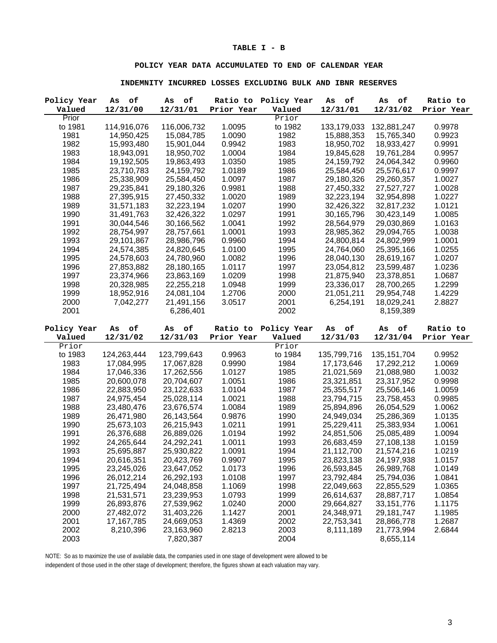## **TABLE I - B**

## **POLICY YEAR DATA ACCUMULATED TO END OF CALENDAR YEAR**

#### **INDEMNITY INCURRED LOSSES EXCLUDING BULK AND IBNR RESERVES**

| Policy Year  | of<br>Αs                  | of<br>As                 | Ratio to         | Policy Year  | о£<br>As                 | оf<br>As                 | Ratio to         |
|--------------|---------------------------|--------------------------|------------------|--------------|--------------------------|--------------------------|------------------|
| Valued       | 12/31/00                  | 12/31/01                 | Prior Year       | Valued       | 12/31/01                 | 12/31/02                 | Prior Year       |
| Prior        |                           |                          |                  | Prior        |                          |                          |                  |
| to 1981      | 114,916,076               | 116,006,732              | 1.0095           | to 1982      | 133,179,033              | 132,881,247              | 0.9978           |
| 1981         | 14,950,425                | 15,084,785               | 1.0090           | 1982         | 15,888,353               | 15,765,340               | 0.9923           |
| 1982         | 15,993,480                | 15,901,044               | 0.9942           | 1983         | 18,950,702               | 18,933,427               | 0.9991           |
| 1983         | 18,943,091                | 18,950,702               | 1.0004           | 1984         | 19,845,628               | 19,761,284               | 0.9957           |
| 1984         | 19,192,505                | 19,863,493               | 1.0350           | 1985         | 24,159,792               | 24,064,342               | 0.9960           |
| 1985         | 23,710,783                | 24,159,792               | 1.0189           | 1986         | 25,584,450               | 25,576,617               | 0.9997           |
| 1986         | 25,338,909                | 25,584,450               | 1.0097           | 1987         | 29,180,326               | 29,260,357               | 1.0027           |
| 1987         | 29,235,841                | 29,180,326               | 0.9981           | 1988         | 27,450,332               | 27,527,727               | 1.0028           |
| 1988         | 27,395,915                | 27,450,332               | 1.0020           | 1989         | 32,223,194               | 32,954,898               | 1.0227           |
| 1989         | 31,571,183                | 32,223,194               | 1.0207           | 1990         | 32,426,322               | 32,817,232               | 1.0121           |
| 1990         | 31,491,763                | 32,426,322               | 1.0297           | 1991         | 30,165,796               | 30,423,149               | 1.0085           |
| 1991         | 30,044,546                | 30,166,562               | 1.0041           | 1992         | 28,564,979               | 29,030,869               | 1.0163           |
| 1992         | 28,754,997                | 28,757,661               | 1.0001           | 1993         | 28,985,362               | 29,094,765               | 1.0038           |
| 1993         | 29,101,867                | 28,986,796               | 0.9960           | 1994         | 24,800,814               | 24,802,999               | 1.0001           |
| 1994         | 24,574,385                | 24,820,645               | 1.0100           | 1995         | 24,764,060               | 25,395,166               | 1.0255           |
| 1995         | 24,578,603                | 24,780,960               | 1.0082           | 1996         | 28,040,130               | 28,619,167               | 1.0207           |
| 1996         | 27,853,882                | 28,180,165               | 1.0117           | 1997         | 23,054,812               | 23,599,487               | 1.0236           |
| 1997         | 23,374,966                | 23,863,169               | 1.0209           | 1998         | 21,875,940               | 23,378,851               | 1.0687           |
| 1998         | 20,328,985                | 22,255,218               | 1.0948           | 1999         | 23,336,017               | 28,700,265               | 1.2299           |
| 1999         | 18,952,916                | 24,081,104               | 1.2706           | 2000         | 21,051,211               | 29,954,748               | 1.4229           |
| 2000         | 7,042,277                 | 21,491,156               | 3.0517           | 2001         | 6,254,191                | 18,029,241               | 2.8827           |
| 2001         |                           | 6,286,401                |                  | 2002         |                          | 8,159,389                |                  |
|              |                           |                          |                  |              |                          |                          |                  |
|              |                           |                          |                  |              |                          |                          |                  |
| Policy Year  | of<br>As                  | оf<br>As                 | Ratio to         | Policy Year  | $\circ \texttt{f}$<br>As | оf<br>As                 | Ratio to         |
| Valued       | 12/31/02                  | 12/31/03                 | Prior Year       | Valued       | 12/31/03                 | 12/31/04                 | Prior Year       |
| Prior        |                           |                          |                  | Prior        |                          |                          |                  |
| to 1983      | 124,263,444               | 123,799,643              | 0.9963           | to 1984      | 135,799,716              | 135, 151, 704            | 0.9952           |
| 1983         | 17,084,995                | 17,067,828               | 0.9990           | 1984         | 17,173,646               | 17,292,212               | 1.0069           |
| 1984         | 17,046,336                | 17,262,556               | 1.0127           | 1985         | 21,021,569               | 21,088,980               | 1.0032           |
| 1985         | 20,600,078                | 20,704,607               | 1.0051           | 1986         | 23,321,851               | 23,317,952               | 0.9998           |
| 1986         | 22,883,950                | 23,122,633               | 1.0104           | 1987         | 25,355,517               | 25,506,146               | 1.0059           |
| 1987         | 24,975,454                | 25,028,114               | 1.0021           | 1988         | 23,794,715               | 23,758,453               | 0.9985           |
| 1988         | 23,480,476                | 23,676,574               | 1.0084           | 1989         | 25,894,896               | 26,054,529               | 1.0062           |
| 1989         | 26,471,980                | 26,143,564               | 0.9876           | 1990         | 24,949,034               | 25,286,369               | 1.0135           |
| 1990         | 25,673,103                | 26,215,943               | 1.0211           | 1991         | 25,229,411               | 25,383,934               | 1.0061           |
| 1991         | 26,376,688                | 26,889,026               | 1.0194           | 1992         | 24,851,506               | 25,085,489               | 1.0094           |
| 1992         | 24,265,644                | 24,292,241               | 1.0011           | 1993         | 26,683,459               | 27,108,138               | 1.0159           |
| 1993         | 25,695,887                | 25,930,822               | 1.0091           | 1994         | 21,112,700               | 21,574,216               | 1.0219           |
|              | 20,616,351                | 20,423,769               |                  | 1995         | 23,823,138               | 24,197,938               |                  |
| 1994<br>1995 | 23,245,026                | 23,647,052               | 0.9907<br>1.0173 | 1996         | 26,593,845               | 26,989,768               | 1.0157<br>1.0149 |
| 1996         | 26,012,214                | 26,292,193               | 1.0108           | 1997         | 23,792,484               | 25,794,036               | 1.0841           |
| 1997         | 21,725,494                | 24,048,858               | 1.1069           | 1998         | 22,049,663               | 22,855,529               | 1.0365           |
|              | 21,531,571                |                          |                  |              |                          |                          |                  |
| 1998         |                           | 23,239,953               | 1.0793           | 1999         | 26,614,637               | 28,887,717               | 1.0854           |
| 1999         | 26,893,876                | 27,539,962               | 1.0240           | 2000         | 29,664,827               | 33, 151, 776             | 1.1175           |
| 2000         | 27,482,072                | 31,403,226               | 1.1427           | 2001<br>2002 | 24,348,971               | 29,181,747               | 1.1985           |
| 2001<br>2002 | 17, 167, 785<br>8,210,396 | 24,669,053<br>23,163,960 | 1.4369<br>2.8213 | 2003         | 22,753,341<br>8,111,189  | 28,866,778<br>21,773,994 | 1.2687<br>2.6844 |

NOTE: So as to maximize the use of available data, the companies used in one stage of development were allowed to be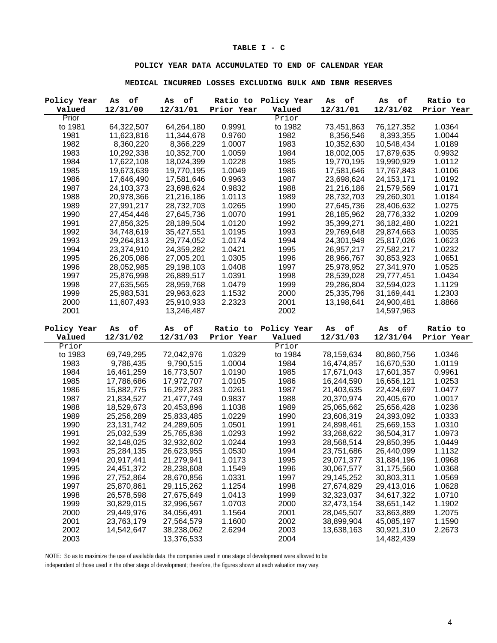#### **TABLE I - C**

## **POLICY YEAR DATA ACCUMULATED TO END OF CALENDAR YEAR**

#### **MEDICAL INCURRED LOSSES EXCLUDING BULK AND IBNR RESERVES**

| Policy Year  | оf<br>As                 | оf<br>As                 | Ratio to         | Policy Year  | о£<br>As                 | оf<br>As                 | Ratio to         |
|--------------|--------------------------|--------------------------|------------------|--------------|--------------------------|--------------------------|------------------|
| Valued       | 12/31/00                 | 12/31/01                 | Prior Year       | Valued       | 12/31/01                 | 12/31/02                 | Prior Year       |
| Prior        |                          |                          |                  | Prior        |                          |                          |                  |
| to 1981      | 64,322,507               | 64,264,180               | 0.9991           | to 1982      | 73,451,863               | 76,127,352               | 1.0364           |
| 1981         | 11,623,816               | 11,344,678               | 0.9760           | 1982         | 8,356,546                | 8,393,355                | 1.0044           |
| 1982         | 8,360,220                | 8,366,229                | 1.0007           | 1983         | 10,352,630               | 10,548,434               | 1.0189           |
| 1983         | 10,292,338               | 10,352,700               | 1.0059           | 1984         | 18,002,005               | 17,879,635               | 0.9932           |
| 1984         | 17,622,108               | 18,024,399               | 1.0228           | 1985         | 19,770,195               | 19,990,929               | 1.0112           |
| 1985         | 19,673,639               | 19,770,195               | 1.0049           | 1986         | 17,581,646               | 17,767,843               | 1.0106           |
| 1986         | 17,646,490               | 17,581,646               | 0.9963           | 1987         | 23,698,624               | 24, 153, 171             | 1.0192           |
| 1987         | 24,103,373               | 23,698,624               | 0.9832           | 1988         | 21,216,186               | 21,579,569               | 1.0171           |
| 1988         | 20,978,366               | 21,216,186               | 1.0113           | 1989         | 28,732,703               | 29,260,301               | 1.0184           |
| 1989         | 27,991,217               | 28,732,703               | 1.0265           | 1990         | 27,645,736               | 28,406,632               | 1.0275           |
| 1990         | 27,454,446               | 27,645,736               | 1.0070           | 1991         | 28,185,962               | 28,776,332               | 1.0209           |
| 1991         | 27,856,325               | 28,189,504               | 1.0120           | 1992         | 35,399,271               | 36,182,480               | 1.0221           |
| 1992         | 34,748,619               | 35,427,551               | 1.0195           | 1993         | 29,769,648               | 29,874,663               | 1.0035           |
| 1993         | 29,264,813               | 29,774,052               | 1.0174           | 1994         | 24,301,949               | 25,817,026               | 1.0623           |
| 1994         | 23,374,910               | 24,359,282               | 1.0421           | 1995         | 26,957,217               | 27,582,217               | 1.0232           |
| 1995         | 26,205,086               | 27,005,201               | 1.0305           | 1996         | 28,966,767               | 30,853,923               | 1.0651           |
| 1996         | 28,052,985               | 29,198,103               | 1.0408           | 1997         | 25,978,952               | 27,341,970               | 1.0525           |
| 1997         | 25,876,998               | 26,889,517               | 1.0391           | 1998         | 28,539,028               | 29,777,451               | 1.0434           |
| 1998         | 27,635,565               | 28,959,768               | 1.0479           | 1999         | 29,286,804               | 32,594,023               | 1.1129           |
| 1999         | 25,983,531               | 29,963,623               | 1.1532           | 2000         | 25,335,796               | 31,169,441               | 1.2303           |
| 2000         | 11,607,493               | 25,910,933               | 2.2323           | 2001         | 13,198,641               | 24,900,481               | 1.8866           |
| 2001         |                          | 13,246,487               |                  | 2002         |                          | 14,597,963               |                  |
|              |                          |                          |                  |              |                          |                          |                  |
|              |                          |                          |                  |              |                          |                          |                  |
| Policy Year  | As<br>оf                 | оf<br>As                 | Ratio to         | Policy Year  | As<br>оf                 | $\circ \texttt{f}$<br>As | Ratio to         |
| Valued       | 12/31/02                 | 12/31/03                 | Prior Year       | Valued       | 12/31/03                 | 12/31/04                 | Prior Year       |
| Prior        |                          |                          |                  | Prior        |                          |                          |                  |
| to 1983      | 69,749,295               | 72,042,976               | 1.0329           | to 1984      | 78,159,634               | 80,860,756               | 1.0346           |
| 1983         | 9,786,435                | 9,790,515                | 1.0004           | 1984         | 16,474,857               | 16,670,530               | 1.0119           |
| 1984         | 16,461,259               | 16,773,507               | 1.0190           | 1985         | 17,671,043               | 17,601,357               | 0.9961           |
| 1985         | 17,786,686               | 17,972,707               | 1.0105           | 1986         | 16,244,590               | 16,656,121               | 1.0253           |
| 1986         | 15,882,775               | 16,297,283               | 1.0261           | 1987         | 21,403,635               | 22,424,697               | 1.0477           |
| 1987         | 21,834,527               | 21,477,749               | 0.9837           | 1988         | 20,370,974               | 20,405,670               | 1.0017           |
| 1988         | 18,529,673               | 20,453,896               | 1.1038           | 1989         | 25,065,662               | 25,656,428               | 1.0236           |
| 1989         | 25,256,289               | 25,833,485               | 1.0229           | 1990         | 23,606,319               | 24,393,092               | 1.0333           |
| 1990         | 23, 131, 742             | 24,289,605               | 1.0501           | 1991         | 24,898,461               | 25,669,153               | 1.0310           |
| 1991         | 25,032,539               | 25,765,836               | 1.0293           | 1992         | 33,268,622               | 36,504,317               | 1.0973           |
| 1992         | 32,148,025               | 32,932,602               | 1.0244           | 1993         | 28,568,514               | 29,850,395               | 1.0449           |
| 1993         | 25,284,135               | 26,623,955               | 1.0530           | 1994         | 23,751,686               | 26,440,099               | 1.1132           |
| 1994         | 20,917,441               | 21,279,941               | 1.0173           | 1995         | 29,071,377               | 31,884,196               | 1.0968           |
| 1995         | 24,451,372               | 28,238,608               | 1.1549           | 1996         | 30,067,577               | 31,175,560               | 1.0368           |
| 1996         | 27,752,864               | 28,670,856               | 1.0331           | 1997         | 29,145,252               | 30,803,311               | 1.0569           |
| 1997         | 25,870,861               | 29,115,262               | 1.1254           | 1998         | 27,674,829               | 29,413,016               | 1.0628           |
| 1998         | 26,578,598               | 27,675,649               | 1.0413           | 1999         | 32,323,037               | 34,617,322               | 1.0710           |
| 1999         | 30,829,015               | 32,996,567               | 1.0703           | 2000         | 32,473,154               | 38,651,142               | 1.1902           |
| 2000         | 29,449,976               | 34,056,491               | 1.1564           | 2001         | 28,045,507               | 33,863,889               | 1.2075           |
| 2001<br>2002 | 23,763,179<br>14,542,647 | 27,564,579<br>38,238,062 | 1.1600<br>2.6294 | 2002<br>2003 | 38,899,904<br>13,638,163 | 45,085,197<br>30,921,310 | 1.1590<br>2.2673 |

NOTE: So as to maximize the use of available data, the companies used in one stage of development were allowed to be independent of those used in the other stage of development; therefore, the figures shown at each valuation may vary.

4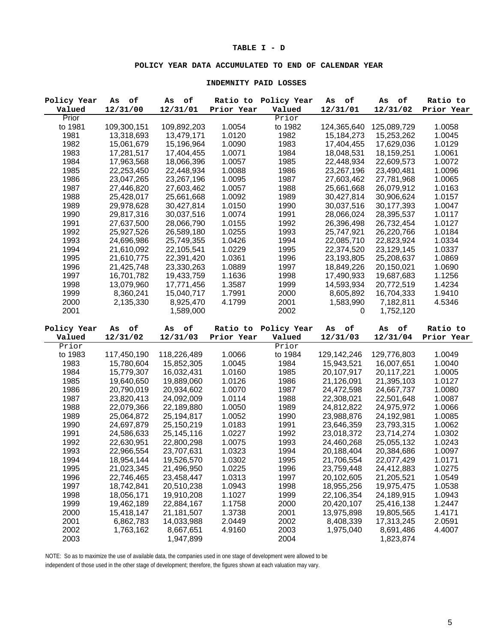## **TABLE I - D**

### **POLICY YEAR DATA ACCUMULATED TO END OF CALENDAR YEAR**

#### **INDEMNITY PAID LOSSES**

| Policy Year  | of<br>Αs    | оf<br>As                 | Ratio to   | Policy Year          | о£<br>As     | о£<br>As               | Ratio to   |
|--------------|-------------|--------------------------|------------|----------------------|--------------|------------------------|------------|
| Valued       | 12/31/00    | 12/31/01                 | Prior Year | Valued               | 12/31/01     | 12/31/02               | Prior Year |
| Prior        |             |                          |            | Prior                |              |                        |            |
| to 1981      | 109,300,151 | 109,892,203              | 1.0054     | to 1982              | 124,365,640  | 125,089,729            | 1.0058     |
| 1981         | 13,318,693  | 13,479,171               | 1.0120     | 1982                 | 15, 184, 273 | 15,253,262             | 1.0045     |
| 1982         | 15,061,679  | 15,196,964               | 1.0090     | 1983                 | 17,404,455   | 17,629,036             | 1.0129     |
| 1983         | 17,281,517  | 17,404,455               | 1.0071     | 1984                 | 18,048,531   | 18,159,251             | 1.0061     |
| 1984         | 17,963,568  | 18,066,396               | 1.0057     | 1985                 | 22,448,934   | 22,609,573             | 1.0072     |
| 1985         | 22,253,450  | 22,448,934               | 1.0088     | 1986                 | 23,267,196   | 23,490,481             | 1.0096     |
| 1986         | 23,047,265  | 23,267,196               | 1.0095     | 1987                 | 27,603,462   | 27,781,968             | 1.0065     |
| 1987         | 27,446,820  | 27,603,462               | 1.0057     | 1988                 | 25,661,668   | 26,079,912             | 1.0163     |
| 1988         | 25,428,017  | 25,661,668               | 1.0092     | 1989                 | 30,427,814   | 30,906,624             | 1.0157     |
| 1989         | 29,978,628  | 30,427,814               | 1.0150     | 1990                 | 30,037,516   | 30,177,393             | 1.0047     |
| 1990         | 29,817,316  | 30,037,516               | 1.0074     | 1991                 | 28,066,024   | 28,395,537             | 1.0117     |
| 1991         | 27,637,500  | 28,066,790               | 1.0155     | 1992                 | 26,396,498   | 26,732,454             | 1.0127     |
| 1992         | 25,927,526  | 26,589,180               | 1.0255     | 1993                 | 25,747,921   | 26,220,766             | 1.0184     |
| 1993         | 24,696,986  | 25,749,355               | 1.0426     | 1994                 | 22,085,710   | 22,823,924             | 1.0334     |
| 1994         | 21,610,092  | 22,105,541               | 1.0229     | 1995                 | 22,374,520   | 23,129,145             | 1.0337     |
| 1995         | 21,610,775  | 22,391,420               | 1.0361     | 1996                 | 23,193,805   | 25,208,637             | 1.0869     |
| 1996         | 21,425,748  | 23,330,263               | 1.0889     | 1997                 | 18,849,226   | 20,150,021             | 1.0690     |
| 1997         | 16,701,782  | 19,433,759               | 1.1636     | 1998                 | 17,490,933   | 19,687,683             | 1.1256     |
| 1998         | 13,079,960  | 17,771,456               | 1.3587     | 1999                 | 14,593,934   | 20,772,519             | 1.4234     |
| 1999         | 8,360,241   | 15,040,717               | 1.7991     | 2000                 | 8,605,892    | 16,704,333             | 1.9410     |
| 2000         |             |                          |            | 2001                 |              |                        | 4.5346     |
| 2001         | 2,135,330   | 8,925,470<br>1,589,000   | 4.1799     | 2002                 | 1,583,990    | 7,182,811<br>1,752,120 |            |
|              |             |                          |            |                      | 0            |                        |            |
|              |             |                          |            |                      |              |                        |            |
|              |             |                          |            |                      |              |                        |            |
| Policy Year  | As<br>оf    | $\circ \texttt{f}$<br>As |            | Ratio to Policy Year | As<br>оf     | As<br>оf               | Ratio to   |
| Valued       | 12/31/02    | 12/31/03                 | Prior Year | Valued               | 12/31/03     | 12/31/04               | Prior Year |
| Prior        |             |                          |            | Prior                |              |                        |            |
| to 1983      | 117,450,190 | 118,226,489              | 1.0066     | to 1984              | 129,142,246  | 129,776,803            | 1.0049     |
| 1983         | 15,780,604  | 15,852,305               | 1.0045     | 1984                 | 15,943,521   | 16,007,651             | 1.0040     |
| 1984         | 15,779,307  | 16,032,431               | 1.0160     | 1985                 | 20,107,917   | 20,117,221             | 1.0005     |
| 1985         | 19,640,650  | 19,889,060               | 1.0126     | 1986                 | 21,126,091   | 21,395,103             | 1.0127     |
| 1986         | 20,790,019  | 20,934,602               | 1.0070     | 1987                 | 24,472,598   | 24,667,737             | 1.0080     |
| 1987         | 23,820,413  | 24,092,009               | 1.0114     | 1988                 | 22,308,021   | 22,501,648             | 1.0087     |
| 1988         | 22,079,366  | 22,189,880               | 1.0050     | 1989                 | 24,812,822   | 24,975,972             | 1.0066     |
| 1989         | 25,064,872  | 25,194,817               | 1.0052     | 1990                 | 23,988,876   | 24,192,981             | 1.0085     |
| 1990         | 24,697,879  | 25,150,219               | 1.0183     | 1991                 | 23,646,359   | 23,793,315             | 1.0062     |
| 1991         | 24,586,633  | 25,145,116               | 1.0227     | 1992                 | 23,018,372   | 23,714,274             | 1.0302     |
| 1992         | 22,630,951  | 22,800,298               | 1.0075     | 1993                 | 24,460,268   | 25,055,132             | 1.0243     |
| 1993         | 22,966,554  | 23,707,631               | 1.0323     | 1994                 | 20,188,404   | 20,384,686             | 1.0097     |
| 1994         | 18,954,144  | 19,526,570               | 1.0302     | 1995                 | 21,706,554   | 22,077,429             | 1.0171     |
| 1995         | 21,023,345  | 21,496,950               | 1.0225     | 1996                 | 23,759,448   | 24,412,883             | 1.0275     |
| 1996         | 22,746,465  | 23,458,447               | 1.0313     | 1997                 | 20,102,605   | 21,205,521             | 1.0549     |
| 1997         | 18,742,841  | 20,510,238               | 1.0943     | 1998                 | 18,955,256   | 19,975,475             | 1.0538     |
| 1998         | 18,056,171  | 19,910,208               | 1.1027     | 1999                 | 22,106,354   | 24,189,915             | 1.0943     |
| 1999         | 19,462,189  | 22,884,167               | 1.1758     | 2000                 | 20,420,107   | 25,416,138             | 1.2447     |
| 2000         | 15,418,147  | 21, 181, 507             | 1.3738     | 2001                 | 13,975,898   | 19,805,565             | 1.4171     |
| 2001         | 6,862,783   | 14,033,988               | 2.0449     | 2002                 | 8,408,339    | 17,313,245             | 2.0591     |
| 2002<br>2003 | 1,763,162   | 8,667,651<br>1,947,899   | 4.9160     | 2003<br>2004         | 1,975,040    | 8,691,486<br>1,823,874 | 4.4007     |

NOTE: So as to maximize the use of available data, the companies used in one stage of development were allowed to be